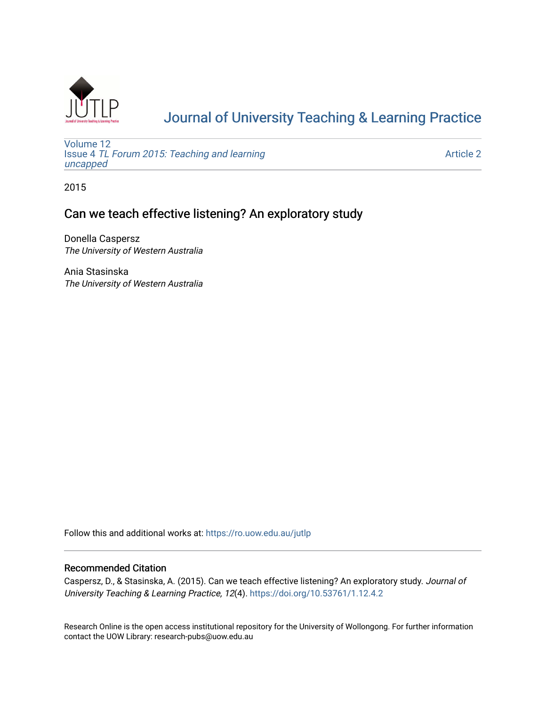

# [Journal of University Teaching & Learning Practice](https://ro.uow.edu.au/jutlp)

[Volume 12](https://ro.uow.edu.au/jutlp/vol12) Issue 4 [TL Forum 2015: Teaching and learning](https://ro.uow.edu.au/jutlp/vol12/iss4)  [uncapped](https://ro.uow.edu.au/jutlp/vol12/iss4)

[Article 2](https://ro.uow.edu.au/jutlp/vol12/iss4/2) 

2015

## Can we teach effective listening? An exploratory study

Donella Caspersz The University of Western Australia

Ania Stasinska The University of Western Australia

Follow this and additional works at: [https://ro.uow.edu.au/jutlp](https://ro.uow.edu.au/jutlp?utm_source=ro.uow.edu.au%2Fjutlp%2Fvol12%2Fiss4%2F2&utm_medium=PDF&utm_campaign=PDFCoverPages) 

### Recommended Citation

Caspersz, D., & Stasinska, A. (2015). Can we teach effective listening? An exploratory study. Journal of University Teaching & Learning Practice, 12(4).<https://doi.org/10.53761/1.12.4.2>

Research Online is the open access institutional repository for the University of Wollongong. For further information contact the UOW Library: research-pubs@uow.edu.au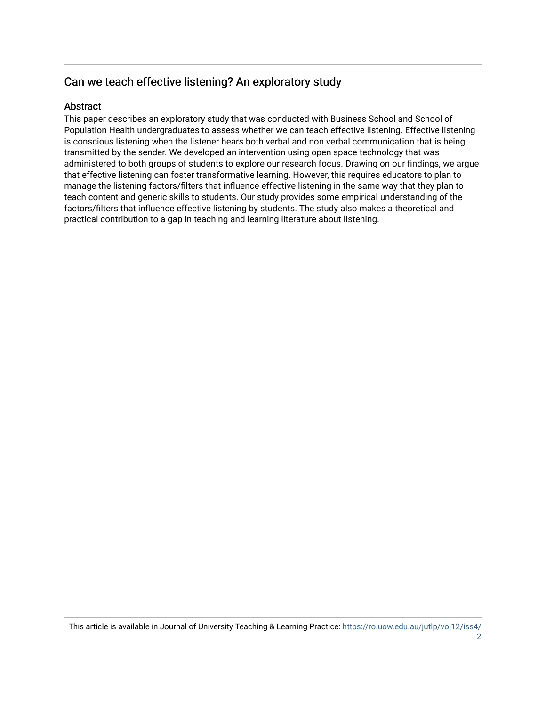## Can we teach effective listening? An exploratory study

## **Abstract**

This paper describes an exploratory study that was conducted with Business School and School of Population Health undergraduates to assess whether we can teach effective listening. Effective listening is conscious listening when the listener hears both verbal and non verbal communication that is being transmitted by the sender. We developed an intervention using open space technology that was administered to both groups of students to explore our research focus. Drawing on our findings, we argue that effective listening can foster transformative learning. However, this requires educators to plan to manage the listening factors/filters that influence effective listening in the same way that they plan to teach content and generic skills to students. Our study provides some empirical understanding of the factors/filters that influence effective listening by students. The study also makes a theoretical and practical contribution to a gap in teaching and learning literature about listening.

This article is available in Journal of University Teaching & Learning Practice: [https://ro.uow.edu.au/jutlp/vol12/iss4/](https://ro.uow.edu.au/jutlp/vol12/iss4/2)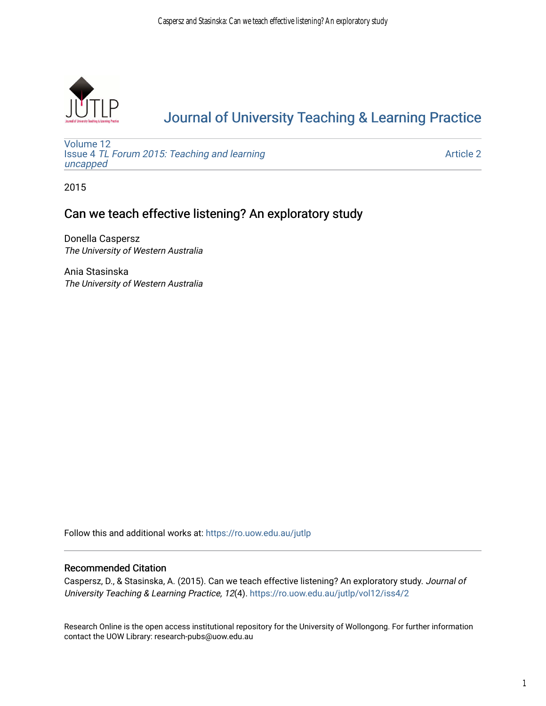

# [Journal of University Teaching & Learning Practice](https://ro.uow.edu.au/jutlp)

[Volume 12](https://ro.uow.edu.au/jutlp/vol12) Issue 4 [TL Forum 2015: Teaching and learning](https://ro.uow.edu.au/jutlp/vol12/iss4)  [uncapped](https://ro.uow.edu.au/jutlp/vol12/iss4)

[Article 2](https://ro.uow.edu.au/jutlp/vol12/iss4/2) 

2015

## Can we teach effective listening? An exploratory study

Donella Caspersz The University of Western Australia

Ania Stasinska The University of Western Australia

Follow this and additional works at: [https://ro.uow.edu.au/jutlp](https://ro.uow.edu.au/jutlp?utm_source=ro.uow.edu.au%2Fjutlp%2Fvol12%2Fiss4%2F2&utm_medium=PDF&utm_campaign=PDFCoverPages) 

### Recommended Citation

Caspersz, D., & Stasinska, A. (2015). Can we teach effective listening? An exploratory study. Journal of University Teaching & Learning Practice, 12(4). [https://ro.uow.edu.au/jutlp/vol12/iss4/2](https://ro.uow.edu.au/jutlp/vol12/iss4/2?utm_source=ro.uow.edu.au%2Fjutlp%2Fvol12%2Fiss4%2F2&utm_medium=PDF&utm_campaign=PDFCoverPages) 

Research Online is the open access institutional repository for the University of Wollongong. For further information contact the UOW Library: research-pubs@uow.edu.au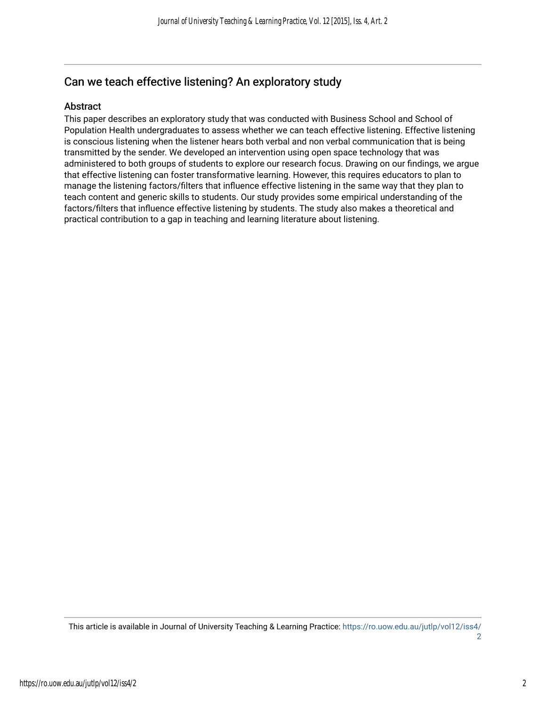## Can we teach effective listening? An exploratory study

### Abstract

This paper describes an exploratory study that was conducted with Business School and School of Population Health undergraduates to assess whether we can teach effective listening. Effective listening is conscious listening when the listener hears both verbal and non verbal communication that is being transmitted by the sender. We developed an intervention using open space technology that was administered to both groups of students to explore our research focus. Drawing on our findings, we argue that effective listening can foster transformative learning. However, this requires educators to plan to manage the listening factors/filters that influence effective listening in the same way that they plan to teach content and generic skills to students. Our study provides some empirical understanding of the factors/filters that influence effective listening by students. The study also makes a theoretical and practical contribution to a gap in teaching and learning literature about listening.

This article is available in Journal of University Teaching & Learning Practice: [https://ro.uow.edu.au/jutlp/vol12/iss4/](https://ro.uow.edu.au/jutlp/vol12/iss4/2) [2](https://ro.uow.edu.au/jutlp/vol12/iss4/2)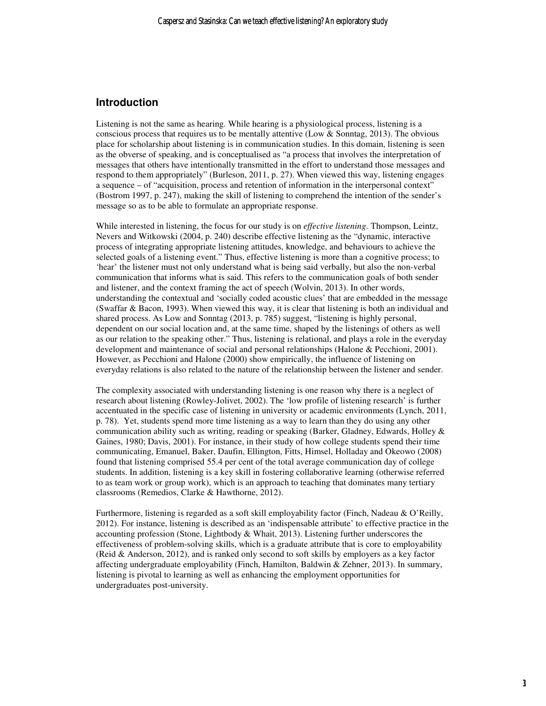### **Introduction**

Listening is not the same as hearing. While hearing is a physiological process, listening is a conscious process that requires us to be mentally attentive (Low & Sonntag, 2013). The obvious place for scholarship about listening is in communication studies. In this domain, listening is seen as the obverse of speaking, and is conceptualised as "a process that involves the interpretation of messages that others have intentionally transmitted in the effort to understand those messages and respond to them appropriately" (Burleson, 2011, p. 27). When viewed this way, listening engages a sequence – of "acquisition, process and retention of information in the interpersonal context" (Bostrom 1997, p. 247), making the skill of listening to comprehend the intention of the sender's message so as to be able to formulate an appropriate response.

While interested in listening, the focus for our study is on *effective listening*. Thompson, Leintz, Nevers and Witkowski (2004, p. 240) describe effective listening as the "dynamic, interactive process of integrating appropriate listening attitudes, knowledge, and behaviours to achieve the selected goals of a listening event." Thus, effective listening is more than a cognitive process; to 'hear' the listener must not only understand what is being said verbally, but also the non-verbal communication that informs what is said. This refers to the communication goals of both sender and listener, and the context framing the act of speech (Wolvin, 2013). In other words, understanding the contextual and 'socially coded acoustic clues' that are embedded in the message (Swaffar & Bacon, 1993). When viewed this way, it is clear that listening is both an individual and shared process. As Low and Sonntag (2013, p. 785) suggest, "listening is highly personal, dependent on our social location and, at the same time, shaped by the listenings of others as well as our relation to the speaking other." Thus, listening is relational, and plays a role in the everyday development and maintenance of social and personal relationships (Halone & Pecchioni, 2001). However, as Pecchioni and Halone (2000) show empirically, the influence of listening on everyday relations is also related to the nature of the relationship between the listener and sender.

The complexity associated with understanding listening is one reason why there is a neglect of research about listening (Rowley-Jolivet, 2002). The 'low profile of listening research' is further accentuated in the specific case of listening in university or academic environments (Lynch, 2011, p. 78). Yet, students spend more time listening as a way to learn than they do using any other communication ability such as writing, reading or speaking (Barker, Gladney, Edwards, Holley  $\&$ Gaines, 1980; Davis, 2001). For instance, in their study of how college students spend their time communicating, Emanuel, Baker, Daufin, Ellington, Fitts, Himsel, Holladay and Okeowo (2008) found that listening comprised 55.4 per cent of the total average communication day of college students. In addition, listening is a key skill in fostering collaborative learning (otherwise referred to as team work or group work), which is an approach to teaching that dominates many tertiary classrooms (Remedios, Clarke & Hawthorne, 2012).

Furthermore, listening is regarded as a soft skill employability factor (Finch, Nadeau & O'Reilly, 2012). For instance, listening is described as an 'indispensable attribute' to effective practice in the accounting profession (Stone, Lightbody  $&$  Whait, 2013). Listening further underscores the effectiveness of problem-solving skills, which is a graduate attribute that is core to employability (Reid & Anderson, 2012), and is ranked only second to soft skills by employers as a key factor affecting undergraduate employability (Finch, Hamilton, Baldwin & Zehner, 2013). In summary, listening is pivotal to learning as well as enhancing the employment opportunities for undergraduates post-university.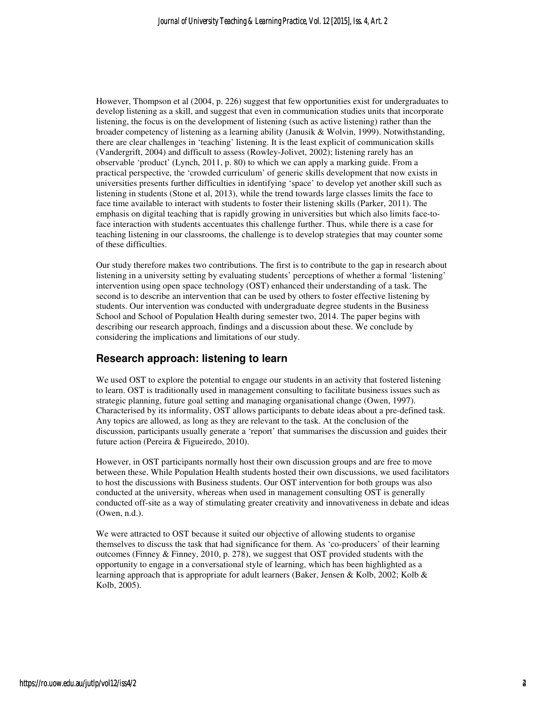However, Thompson et al (2004, p. 226) suggest that few opportunities exist for undergraduates to develop listening as a skill, and suggest that even in communication studies units that incorporate listening, the focus is on the development of listening (such as active listening) rather than the broader competency of listening as a learning ability (Janusik & Wolvin, 1999). Notwithstanding, there are clear challenges in 'teaching' listening. It is the least explicit of communication skills (Vandergrift, 2004) and difficult to assess (Rowley-Jolivet, 2002); listening rarely has an observable 'product' (Lynch, 2011, p. 80) to which we can apply a marking guide. From a practical perspective, the 'crowded curriculum' of generic skills development that now exists in universities presents further difficulties in identifying 'space' to develop yet another skill such as listening in students (Stone et al, 2013), while the trend towards large classes limits the face to face time available to interact with students to foster their listening skills (Parker, 2011). The emphasis on digital teaching that is rapidly growing in universities but which also limits face-toface interaction with students accentuates this challenge further. Thus, while there is a case for teaching listening in our classrooms, the challenge is to develop strategies that may counter some of these difficulties.

Our study therefore makes two contributions. The first is to contribute to the gap in research about listening in a university setting by evaluating students' perceptions of whether a formal 'listening' intervention using open space technology (OST) enhanced their understanding of a task. The second is to describe an intervention that can be used by others to foster effective listening by students. Our intervention was conducted with undergraduate degree students in the Business School and School of Population Health during semester two, 2014. The paper begins with describing our research approach, findings and a discussion about these. We conclude by considering the implications and limitations of our study.

## **Research approach: listening to learn**

We used OST to explore the potential to engage our students in an activity that fostered listening to learn. OST is traditionally used in management consulting to facilitate business issues such as strategic planning, future goal setting and managing organisational change (Owen, 1997). Characterised by its informality, OST allows participants to debate ideas about a pre-defined task. Any topics are allowed, as long as they are relevant to the task. At the conclusion of the discussion, participants usually generate a 'report' that summarises the discussion and guides their future action (Pereira & Figueiredo, 2010).

However, in OST participants normally host their own discussion groups and are free to move between these. While Population Health students hosted their own discussions, we used facilitators to host the discussions with Business students. Our OST intervention for both groups was also conducted at the university, whereas when used in management consulting OST is generally conducted off-site as a way of stimulating greater creativity and innovativeness in debate and ideas (Owen, n.d.).

We were attracted to OST because it suited our objective of allowing students to organise themselves to discuss the task that had significance for them. As 'co-producers' of their learning outcomes (Finney & Finney, 2010, p. 278), we suggest that OST provided students with the opportunity to engage in a conversational style of learning, which has been highlighted as a learning approach that is appropriate for adult learners (Baker, Jensen & Kolb, 2002; Kolb & Kolb, 2005).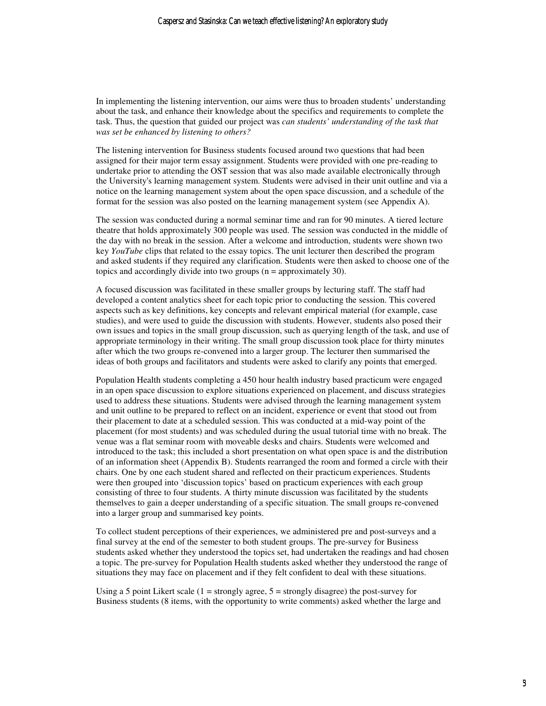In implementing the listening intervention, our aims were thus to broaden students' understanding about the task, and enhance their knowledge about the specifics and requirements to complete the task. Thus, the question that guided our project was *can students' understanding of the task that was set be enhanced by listening to others?*

The listening intervention for Business students focused around two questions that had been assigned for their major term essay assignment. Students were provided with one pre-reading to undertake prior to attending the OST session that was also made available electronically through the University's learning management system. Students were advised in their unit outline and via a notice on the learning management system about the open space discussion, and a schedule of the format for the session was also posted on the learning management system (see Appendix A).

The session was conducted during a normal seminar time and ran for 90 minutes. A tiered lecture theatre that holds approximately 300 people was used. The session was conducted in the middle of the day with no break in the session. After a welcome and introduction, students were shown two key *YouTube* clips that related to the essay topics. The unit lecturer then described the program and asked students if they required any clarification. Students were then asked to choose one of the topics and accordingly divide into two groups (n = approximately 30).

A focused discussion was facilitated in these smaller groups by lecturing staff. The staff had developed a content analytics sheet for each topic prior to conducting the session. This covered aspects such as key definitions, key concepts and relevant empirical material (for example, case studies), and were used to guide the discussion with students. However, students also posed their own issues and topics in the small group discussion, such as querying length of the task, and use of appropriate terminology in their writing. The small group discussion took place for thirty minutes after which the two groups re-convened into a larger group. The lecturer then summarised the ideas of both groups and facilitators and students were asked to clarify any points that emerged.

Population Health students completing a 450 hour health industry based practicum were engaged in an open space discussion to explore situations experienced on placement, and discuss strategies used to address these situations. Students were advised through the learning management system and unit outline to be prepared to reflect on an incident, experience or event that stood out from their placement to date at a scheduled session. This was conducted at a mid-way point of the placement (for most students) and was scheduled during the usual tutorial time with no break. The venue was a flat seminar room with moveable desks and chairs. Students were welcomed and introduced to the task; this included a short presentation on what open space is and the distribution of an information sheet (Appendix B). Students rearranged the room and formed a circle with their chairs. One by one each student shared and reflected on their practicum experiences. Students were then grouped into 'discussion topics' based on practicum experiences with each group consisting of three to four students. A thirty minute discussion was facilitated by the students themselves to gain a deeper understanding of a specific situation. The small groups re-convened into a larger group and summarised key points.

To collect student perceptions of their experiences, we administered pre and post-surveys and a final survey at the end of the semester to both student groups. The pre-survey for Business students asked whether they understood the topics set, had undertaken the readings and had chosen a topic. The pre-survey for Population Health students asked whether they understood the range of situations they may face on placement and if they felt confident to deal with these situations.

Using a 5 point Likert scale  $(1 =$  strongly agree,  $5 =$  strongly disagree) the post-survey for Business students (8 items, with the opportunity to write comments) asked whether the large and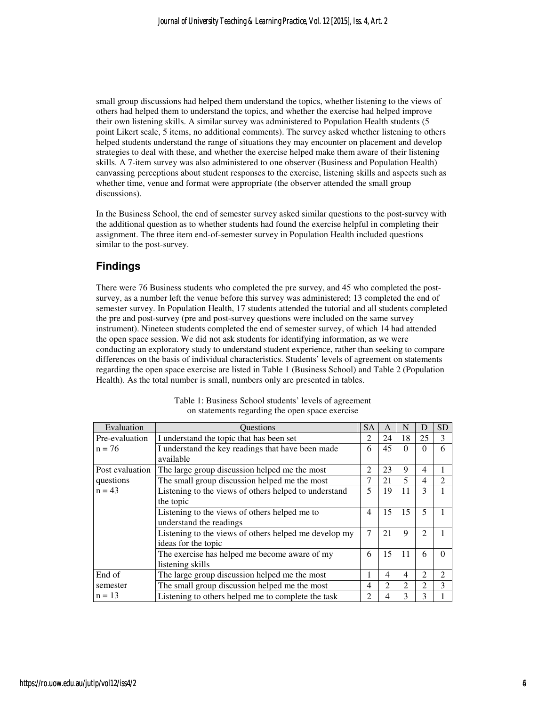small group discussions had helped them understand the topics, whether listening to the views of others had helped them to understand the topics, and whether the exercise had helped improve their own listening skills. A similar survey was administered to Population Health students (5 point Likert scale, 5 items, no additional comments). The survey asked whether listening to others helped students understand the range of situations they may encounter on placement and develop strategies to deal with these, and whether the exercise helped make them aware of their listening skills. A 7-item survey was also administered to one observer (Business and Population Health) canvassing perceptions about student responses to the exercise, listening skills and aspects such as whether time, venue and format were appropriate (the observer attended the small group discussions).

In the Business School, the end of semester survey asked similar questions to the post-survey with the additional question as to whether students had found the exercise helpful in completing their assignment. The three item end-of-semester survey in Population Health included questions similar to the post-survey.

## **Findings**

There were 76 Business students who completed the pre survey, and 45 who completed the postsurvey, as a number left the venue before this survey was administered; 13 completed the end of semester survey. In Population Health, 17 students attended the tutorial and all students completed the pre and post-survey (pre and post-survey questions were included on the same survey instrument). Nineteen students completed the end of semester survey, of which 14 had attended the open space session. We did not ask students for identifying information, as we were conducting an exploratory study to understand student experience, rather than seeking to compare differences on the basis of individual characteristics. Students' levels of agreement on statements regarding the open space exercise are listed in Table 1 (Business School) and Table 2 (Population Health). As the total number is small, numbers only are presented in tables.

| Evaluation      | <b>Ouestions</b>                                      | <b>SA</b>      | A  | N  | D                           | <b>SD</b>      |
|-----------------|-------------------------------------------------------|----------------|----|----|-----------------------------|----------------|
| Pre-evaluation  | I understand the topic that has been set              | $\mathfrak{D}$ | 24 | 18 | 25                          | 3              |
| $n = 76$        | I understand the key readings that have been made     | 6              | 45 | 0  | 0                           | 6              |
|                 | available                                             |                |    |    |                             |                |
| Post evaluation | The large group discussion helped me the most         | $\overline{c}$ | 23 | 9  | 4                           |                |
| questions       | The small group discussion helped me the most         | 7              | 21 | 5  | 4                           | $\mathfrak{D}$ |
| $n = 43$        | Listening to the views of others helped to understand | 5              | 19 | 11 |                             |                |
|                 | the topic                                             |                |    |    |                             |                |
|                 | Listening to the views of others helped me to         | 4              | 15 | 15 | 5                           |                |
|                 | understand the readings                               |                |    |    |                             |                |
|                 | Listening to the views of others helped me develop my | 7              | 21 | 9  | $\mathcal{D}_{\mathcal{L}}$ |                |
|                 | ideas for the topic                                   |                |    |    |                             |                |
|                 | The exercise has helped me become aware of my         | 6              | 15 | 11 | 6                           | $\Omega$       |
|                 | listening skills                                      |                |    |    |                             |                |
| End of          | The large group discussion helped me the most         |                | 4  | 4  | $\mathfrak{D}$              | 2              |
| semester        | The small group discussion helped me the most         | 4              | 2  | 2  | $\mathfrak{D}$              | 3              |
| $n = 13$        | Listening to others helped me to complete the task    | 2              | 4  |    |                             |                |

Table 1: Business School students' levels of agreement on statements regarding the open space exercise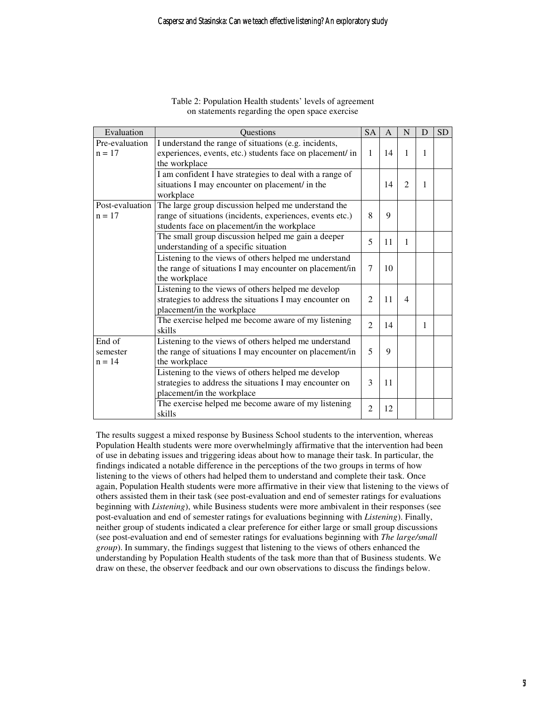| Evaluation                     | <b>Ouestions</b>                                                                                                                                                | <b>SA</b>      | $\overline{A}$ | N                           | D | <b>SD</b> |
|--------------------------------|-----------------------------------------------------------------------------------------------------------------------------------------------------------------|----------------|----------------|-----------------------------|---|-----------|
| Pre-evaluation<br>$n = 17$     | I understand the range of situations (e.g. incidents,<br>experiences, events, etc.) students face on placement/ in<br>the workplace                             | 1              | 14             | 1                           | 1 |           |
|                                | I am confident I have strategies to deal with a range of<br>situations I may encounter on placement/ in the<br>workplace                                        |                | 14             | $\mathcal{D}_{\mathcal{L}}$ | 1 |           |
| Post-evaluation<br>$n = 17$    | The large group discussion helped me understand the<br>range of situations (incidents, experiences, events etc.)<br>students face on placement/in the workplace | 8              | 9              |                             |   |           |
|                                | The small group discussion helped me gain a deeper<br>understanding of a specific situation                                                                     | 5              | 11             | 1                           |   |           |
|                                | Listening to the views of others helped me understand<br>the range of situations I may encounter on placement/in<br>the workplace                               | 7              | 10             |                             |   |           |
|                                | Listening to the views of others helped me develop<br>strategies to address the situations I may encounter on<br>placement/in the workplace                     | $\overline{2}$ | 11             | $\overline{\mathcal{A}}$    |   |           |
|                                | The exercise helped me become aware of my listening<br>skills                                                                                                   | $\mathfrak{D}$ | 14             |                             | 1 |           |
| End of<br>semester<br>$n = 14$ | Listening to the views of others helped me understand<br>the range of situations I may encounter on placement/in<br>the workplace                               | 5              | 9              |                             |   |           |
|                                | Listening to the views of others helped me develop<br>strategies to address the situations I may encounter on<br>placement/in the workplace                     | 3              | 11             |                             |   |           |
|                                | The exercise helped me become aware of my listening<br>skills                                                                                                   | $\overline{2}$ | 12             |                             |   |           |

Table 2: Population Health students' levels of agreement on statements regarding the open space exercise

The results suggest a mixed response by Business School students to the intervention, whereas Population Health students were more overwhelmingly affirmative that the intervention had been of use in debating issues and triggering ideas about how to manage their task. In particular, the findings indicated a notable difference in the perceptions of the two groups in terms of how listening to the views of others had helped them to understand and complete their task. Once again, Population Health students were more affirmative in their view that listening to the views of others assisted them in their task (see post-evaluation and end of semester ratings for evaluations beginning with *Listening*), while Business students were more ambivalent in their responses (see post-evaluation and end of semester ratings for evaluations beginning with *Listening*). Finally, neither group of students indicated a clear preference for either large or small group discussions (see post-evaluation and end of semester ratings for evaluations beginning with *The large/small group*). In summary, the findings suggest that listening to the views of others enhanced the understanding by Population Health students of the task more than that of Business students. We draw on these, the observer feedback and our own observations to discuss the findings below.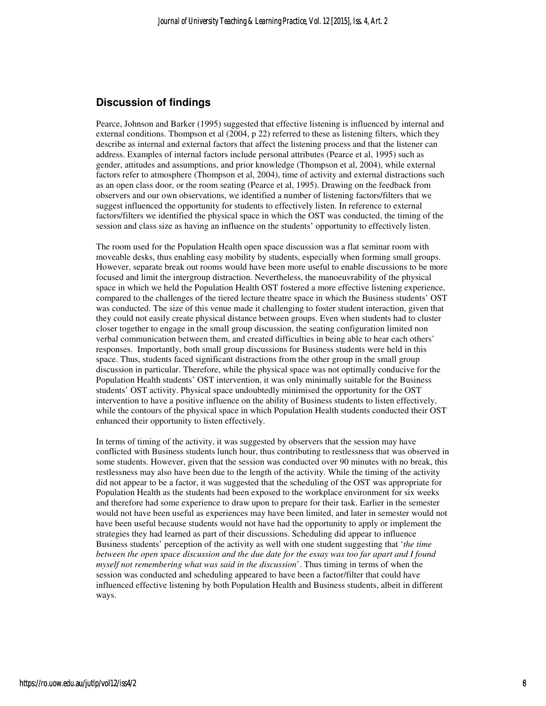## **Discussion of findings**

Pearce, Johnson and Barker (1995) suggested that effective listening is influenced by internal and external conditions. Thompson et al (2004, p 22) referred to these as listening filters, which they describe as internal and external factors that affect the listening process and that the listener can address. Examples of internal factors include personal attributes (Pearce et al, 1995) such as gender, attitudes and assumptions, and prior knowledge (Thompson et al, 2004), while external factors refer to atmosphere (Thompson et al, 2004), time of activity and external distractions such as an open class door, or the room seating (Pearce et al, 1995). Drawing on the feedback from observers and our own observations, we identified a number of listening factors/filters that we suggest influenced the opportunity for students to effectively listen. In reference to external factors/filters we identified the physical space in which the OST was conducted, the timing of the session and class size as having an influence on the students' opportunity to effectively listen.

The room used for the Population Health open space discussion was a flat seminar room with moveable desks, thus enabling easy mobility by students, especially when forming small groups. However, separate break out rooms would have been more useful to enable discussions to be more focused and limit the intergroup distraction. Nevertheless, the manoeuvrability of the physical space in which we held the Population Health OST fostered a more effective listening experience, compared to the challenges of the tiered lecture theatre space in which the Business students' OST was conducted. The size of this venue made it challenging to foster student interaction, given that they could not easily create physical distance between groups. Even when students had to cluster closer together to engage in the small group discussion, the seating configuration limited non verbal communication between them, and created difficulties in being able to hear each others' responses. Importantly, both small group discussions for Business students were held in this space. Thus, students faced significant distractions from the other group in the small group discussion in particular. Therefore, while the physical space was not optimally conducive for the Population Health students' OST intervention, it was only minimally suitable for the Business students' OST activity. Physical space undoubtedly minimised the opportunity for the OST intervention to have a positive influence on the ability of Business students to listen effectively, while the contours of the physical space in which Population Health students conducted their OST enhanced their opportunity to listen effectively.

In terms of timing of the activity, it was suggested by observers that the session may have conflicted with Business students lunch hour, thus contributing to restlessness that was observed in some students. However, given that the session was conducted over 90 minutes with no break, this restlessness may also have been due to the length of the activity. While the timing of the activity did not appear to be a factor, it was suggested that the scheduling of the OST was appropriate for Population Health as the students had been exposed to the workplace environment for six weeks and therefore had some experience to draw upon to prepare for their task. Earlier in the semester would not have been useful as experiences may have been limited, and later in semester would not have been useful because students would not have had the opportunity to apply or implement the strategies they had learned as part of their discussions. Scheduling did appear to influence Business students' perception of the activity as well with one student suggesting that '*the time between the open space discussion and the due date for the essay was too far apart and I found myself not remembering what was said in the discussion*'. Thus timing in terms of when the session was conducted and scheduling appeared to have been a factor/filter that could have influenced effective listening by both Population Health and Business students, albeit in different ways.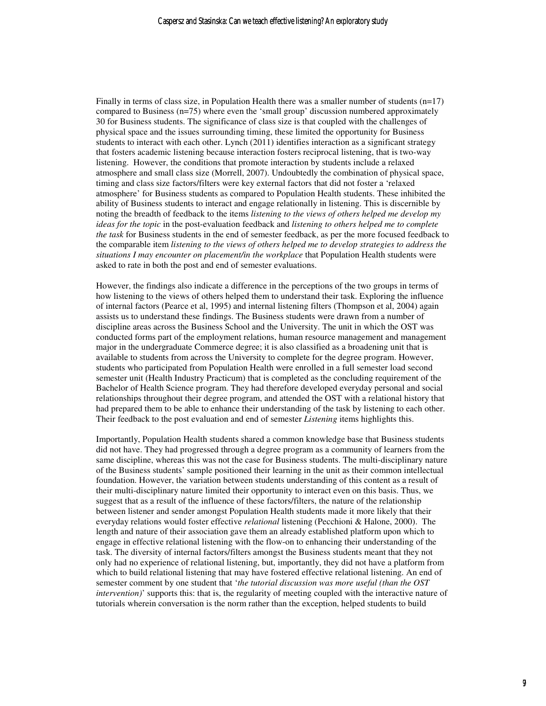Finally in terms of class size, in Population Health there was a smaller number of students  $(n=17)$ compared to Business (n=75) where even the 'small group' discussion numbered approximately 30 for Business students. The significance of class size is that coupled with the challenges of physical space and the issues surrounding timing, these limited the opportunity for Business students to interact with each other. Lynch (2011) identifies interaction as a significant strategy that fosters academic listening because interaction fosters reciprocal listening, that is two-way listening. However, the conditions that promote interaction by students include a relaxed atmosphere and small class size (Morrell, 2007). Undoubtedly the combination of physical space, timing and class size factors/filters were key external factors that did not foster a 'relaxed atmosphere' for Business students as compared to Population Health students. These inhibited the ability of Business students to interact and engage relationally in listening. This is discernible by noting the breadth of feedback to the items *listening to the views of others helped me develop my ideas for the topic* in the post-evaluation feedback and *listening to others helped me to complete the task* for Business students in the end of semester feedback, as per the more focused feedback to the comparable item *listening to the views of others helped me to develop strategies to address the situations I may encounter on placement/in the workplace* that Population Health students were asked to rate in both the post and end of semester evaluations.

However, the findings also indicate a difference in the perceptions of the two groups in terms of how listening to the views of others helped them to understand their task. Exploring the influence of internal factors (Pearce et al, 1995) and internal listening filters (Thompson et al, 2004) again assists us to understand these findings. The Business students were drawn from a number of discipline areas across the Business School and the University. The unit in which the OST was conducted forms part of the employment relations, human resource management and management major in the undergraduate Commerce degree; it is also classified as a broadening unit that is available to students from across the University to complete for the degree program. However, students who participated from Population Health were enrolled in a full semester load second semester unit (Health Industry Practicum) that is completed as the concluding requirement of the Bachelor of Health Science program. They had therefore developed everyday personal and social relationships throughout their degree program, and attended the OST with a relational history that had prepared them to be able to enhance their understanding of the task by listening to each other. Their feedback to the post evaluation and end of semester *Listening* items highlights this.

Importantly, Population Health students shared a common knowledge base that Business students did not have. They had progressed through a degree program as a community of learners from the same discipline, whereas this was not the case for Business students. The multi-disciplinary nature of the Business students' sample positioned their learning in the unit as their common intellectual foundation. However, the variation between students understanding of this content as a result of their multi-disciplinary nature limited their opportunity to interact even on this basis. Thus, we suggest that as a result of the influence of these factors/filters, the nature of the relationship between listener and sender amongst Population Health students made it more likely that their everyday relations would foster effective *relational* listening (Pecchioni & Halone, 2000). The length and nature of their association gave them an already established platform upon which to engage in effective relational listening with the flow-on to enhancing their understanding of the task. The diversity of internal factors/filters amongst the Business students meant that they not only had no experience of relational listening, but, importantly, they did not have a platform from which to build relational listening that may have fostered effective relational listening. An end of semester comment by one student that '*the tutorial discussion was more useful (than the OST intervention)*' supports this: that is, the regularity of meeting coupled with the interactive nature of tutorials wherein conversation is the norm rather than the exception, helped students to build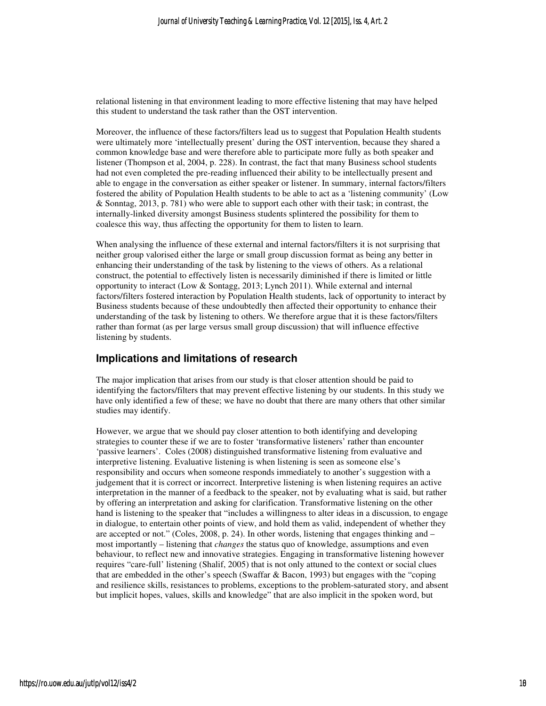relational listening in that environment leading to more effective listening that may have helped this student to understand the task rather than the OST intervention.

Moreover, the influence of these factors/filters lead us to suggest that Population Health students were ultimately more 'intellectually present' during the OST intervention, because they shared a common knowledge base and were therefore able to participate more fully as both speaker and listener (Thompson et al, 2004, p. 228). In contrast, the fact that many Business school students had not even completed the pre-reading influenced their ability to be intellectually present and able to engage in the conversation as either speaker or listener. In summary, internal factors/filters fostered the ability of Population Health students to be able to act as a 'listening community' (Low & Sonntag, 2013, p. 781) who were able to support each other with their task; in contrast, the internally-linked diversity amongst Business students splintered the possibility for them to coalesce this way, thus affecting the opportunity for them to listen to learn.

When analysing the influence of these external and internal factors/filters it is not surprising that neither group valorised either the large or small group discussion format as being any better in enhancing their understanding of the task by listening to the views of others. As a relational construct, the potential to effectively listen is necessarily diminished if there is limited or little opportunity to interact (Low & Sontagg, 2013; Lynch 2011). While external and internal factors/filters fostered interaction by Population Health students, lack of opportunity to interact by Business students because of these undoubtedly then affected their opportunity to enhance their understanding of the task by listening to others. We therefore argue that it is these factors/filters rather than format (as per large versus small group discussion) that will influence effective listening by students.

### **Implications and limitations of research**

The major implication that arises from our study is that closer attention should be paid to identifying the factors/filters that may prevent effective listening by our students. In this study we have only identified a few of these; we have no doubt that there are many others that other similar studies may identify.

However, we argue that we should pay closer attention to both identifying and developing strategies to counter these if we are to foster 'transformative listeners' rather than encounter 'passive learners'. Coles (2008) distinguished transformative listening from evaluative and interpretive listening. Evaluative listening is when listening is seen as someone else's responsibility and occurs when someone responds immediately to another's suggestion with a judgement that it is correct or incorrect. Interpretive listening is when listening requires an active interpretation in the manner of a feedback to the speaker, not by evaluating what is said, but rather by offering an interpretation and asking for clarification. Transformative listening on the other hand is listening to the speaker that "includes a willingness to alter ideas in a discussion, to engage in dialogue, to entertain other points of view, and hold them as valid, independent of whether they are accepted or not." (Coles, 2008, p. 24). In other words, listening that engages thinking and – most importantly – listening that *changes* the status quo of knowledge, assumptions and even behaviour, to reflect new and innovative strategies. Engaging in transformative listening however requires "care-full' listening (Shalif, 2005) that is not only attuned to the context or social clues that are embedded in the other's speech (Swaffar & Bacon, 1993) but engages with the "coping and resilience skills, resistances to problems, exceptions to the problem-saturated story, and absent but implicit hopes, values, skills and knowledge" that are also implicit in the spoken word, but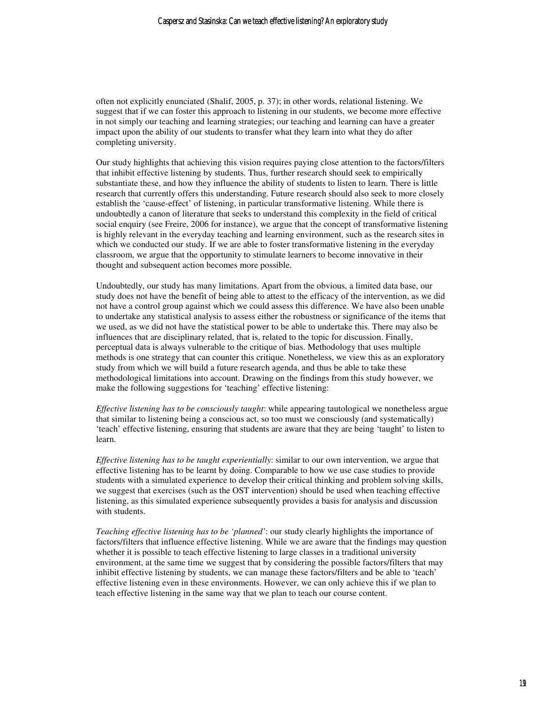often not explicitly enunciated (Shalif, 2005, p. 37); in other words, relational listening. We suggest that if we can foster this approach to listening in our students, we become more effective in not simply our teaching and learning strategies; our teaching and learning can have a greater impact upon the ability of our students to transfer what they learn into what they do after completing university.

Our study highlights that achieving this vision requires paying close attention to the factors/filters that inhibit effective listening by students. Thus, further research should seek to empirically substantiate these, and how they influence the ability of students to listen to learn. There is little research that currently offers this understanding. Future research should also seek to more closely establish the 'cause-effect' of listening, in particular transformative listening. While there is undoubtedly a canon of literature that seeks to understand this complexity in the field of critical social enquiry (see Freire, 2006 for instance), we argue that the concept of transformative listening is highly relevant in the everyday teaching and learning environment, such as the research sites in which we conducted our study. If we are able to foster transformative listening in the everyday classroom, we argue that the opportunity to stimulate learners to become innovative in their thought and subsequent action becomes more possible.

Undoubtedly, our study has many limitations. Apart from the obvious, a limited data base, our study does not have the benefit of being able to attest to the efficacy of the intervention, as we did not have a control group against which we could assess this difference. We have also been unable to undertake any statistical analysis to assess either the robustness or significance of the items that we used, as we did not have the statistical power to be able to undertake this. There may also be influences that are disciplinary related, that is, related to the topic for discussion. Finally, perceptual data is always vulnerable to the critique of bias. Methodology that uses multiple methods is one strategy that can counter this critique. Nonetheless, we view this as an exploratory study from which we will build a future research agenda, and thus be able to take these methodological limitations into account. Drawing on the findings from this study however, we make the following suggestions for 'teaching' effective listening:

*Effective listening has to be consciously taught*: while appearing tautological we nonetheless argue that similar to listening being a conscious act, so too must we consciously (and systematically) 'teach' effective listening, ensuring that students are aware that they are being 'taught' to listen to learn.

*Effective listening has to be taught experientially*: similar to our own intervention, we argue that effective listening has to be learnt by doing. Comparable to how we use case studies to provide students with a simulated experience to develop their critical thinking and problem solving skills, we suggest that exercises (such as the OST intervention) should be used when teaching effective listening, as this simulated experience subsequently provides a basis for analysis and discussion with students.

*Teaching effective listening has to be 'planned'*: our study clearly highlights the importance of factors/filters that influence effective listening. While we are aware that the findings may question whether it is possible to teach effective listening to large classes in a traditional university environment, at the same time we suggest that by considering the possible factors/filters that may inhibit effective listening by students, we can manage these factors/filters and be able to 'teach' effective listening even in these environments. However, we can only achieve this if we plan to teach effective listening in the same way that we plan to teach our course content.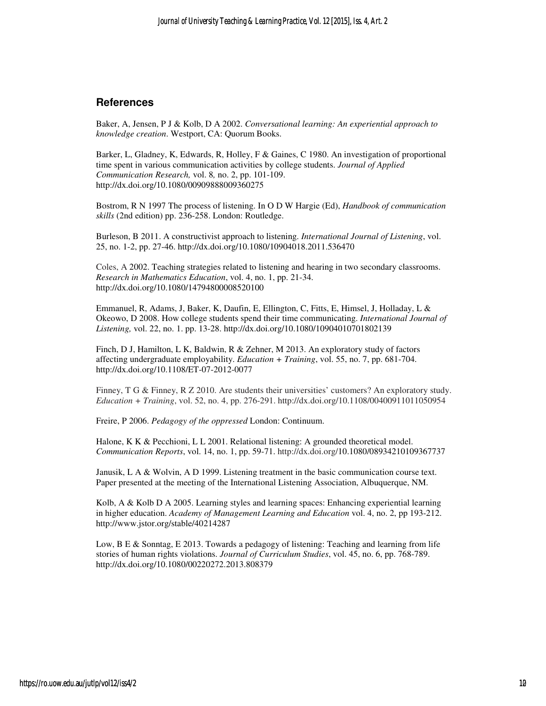### **References**

Baker, A, Jensen, P J & Kolb, D A 2002. *Conversational learning: An experiential approach to knowledge creation*. Westport, CA: Quorum Books.

Barker, L, Gladney, K, Edwards, R, Holley, F & Gaines, C 1980. An investigation of proportional time spent in various communication activities by college students. *Journal of Applied Communication Research,* vol. 8*,* no. 2, pp. 101-109. http://dx.doi.org/10.1080/00909888009360275

Bostrom, R N 1997 The process of listening. In O D W Hargie (Ed), *Handbook of communication skills* (2nd edition) pp. 236-258. London: Routledge.

Burleson, B 2011. A constructivist approach to listening. *International Journal of Listening*, vol. 25, no. 1-2, pp. 27-46. http://dx.doi.org/10.1080/10904018.2011.536470

Coles, A 2002. Teaching strategies related to listening and hearing in two secondary classrooms. *Research in Mathematics Education*, vol. 4, no. 1, pp. 21-34. http://dx.doi.org/10.1080/14794800008520100

Emmanuel, R, Adams, J, Baker, K, Daufin, E, Ellington, C, Fitts, E, Himsel, J, Holladay, L & Okeowo, D 2008. How college students spend their time communicating. *International Journal of Listening,* vol. 22, no. 1. pp. 13-28. http://dx.doi.org/10.1080/10904010701802139

Finch, D J, Hamilton, L K, Baldwin, R & Zehner, M 2013. An exploratory study of factors affecting undergraduate employability. *Education + Training*, vol. 55, no. 7, pp. 681-704. http://dx.doi.org/10.1108/ET-07-2012-0077

Finney, T G & Finney, R Z 2010. Are students their universities' customers? An exploratory study. *Education + Training*, vol. 52, no. 4, pp. 276-291. http://dx.doi.org/10.1108/00400911011050954

Freire, P 2006. *Pedagogy of the oppressed* London: Continuum.

Halone, K K & Pecchioni, L L 2001. Relational listening: A grounded theoretical model. *Communication Reports*, vol. 14, no. 1, pp. 59-71. http://dx.doi.org/10.1080/08934210109367737

Janusik, L A & Wolvin, A D 1999. Listening treatment in the basic communication course text. Paper presented at the meeting of the International Listening Association, Albuquerque, NM.

Kolb, A & Kolb D A 2005. Learning styles and learning spaces: Enhancing experiential learning in higher education. *Academy of Management Learning and Education* vol. 4, no. 2, pp 193-212. http://www.jstor.org/stable/40214287

Low, B E & Sonntag, E 2013. Towards a pedagogy of listening: Teaching and learning from life stories of human rights violations. *Journal of Curriculum Studies*, vol. 45, no. 6, pp. 768-789. http://dx.doi.org/10.1080/00220272.2013.808379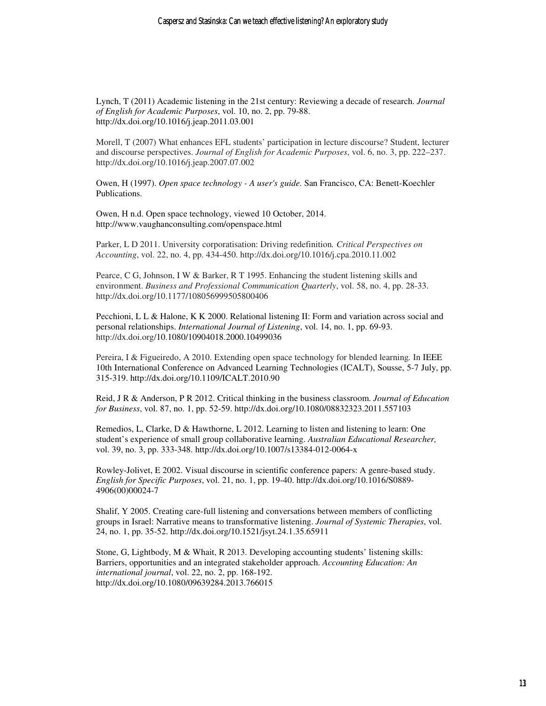Lynch, T (2011) Academic listening in the 21st century: Reviewing a decade of research. *Journal of English for Academic Purposes*, vol. 10, no. 2, pp. 79-88. http://dx.doi.org/10.1016/j.jeap.2011.03.001

Morell, T (2007) What enhances EFL students' participation in lecture discourse? Student, lecturer and discourse perspectives. *Journal of English for Academic Purposes*, vol. 6, no. 3, pp. 222–237. http://dx.doi.org/10.1016/j.jeap.2007.07.002

Owen, H (1997). *Open space technology - A user's guide.* San Francisco, CA: Benett-Koechler Publications.

Owen, H n.d. Open space technology, viewed 10 October, 2014. http://www.vaughanconsulting.com/openspace.html

Parker, L D 2011. University corporatisation: Driving redefinition*. Critical Perspectives on Accounting*, vol. 22, no. 4, pp. 434-450. http://dx.doi.org/10.1016/j.cpa.2010.11.002

Pearce, C G, Johnson, I W & Barker, R T 1995. Enhancing the student listening skills and environment. *Business and Professional Communication Quarterly*, vol. 58, no. 4, pp. 28-33. http://dx.doi.org/10.1177/108056999505800406

Pecchioni, L L & Halone, K K 2000. Relational listening II: Form and variation across social and personal relationships. *International Journal of Listening*, vol. 14, no. 1, pp. 69-93. http://dx.doi.org/10.1080/10904018.2000.10499036

Pereira, I & Figueiredo, A 2010. Extending open space technology for blended learning*.* In IEEE 10th International Conference on Advanced Learning Technologies (ICALT), Sousse, 5-7 July, pp. 315-319. http://dx.doi.org/10.1109/ICALT.2010.90

Reid, J R & Anderson, P R 2012. Critical thinking in the business classroom. *Journal of Education for Business*, vol. 87, no. 1, pp. 52-59. http://dx.doi.org/10.1080/08832323.2011.557103

Remedios, L, Clarke, D & Hawthorne, L 2012. Learning to listen and listening to learn: One student's experience of small group collaborative learning. *Australian Educational Researcher,* vol. 39, no. 3, pp. 333-348. http://dx.doi.org/10.1007/s13384-012-0064-x

Rowley-Jolivet, E 2002. Visual discourse in scientific conference papers: A genre-based study. *English for Specific Purposes*, vol. 21, no. 1, pp. 19-40. http://dx.doi.org/10.1016/S0889- 4906(00)00024-7

Shalif, Y 2005. Creating care-full listening and conversations between members of conflicting groups in Israel: Narrative means to transformative listening. *Journal of Systemic Therapies*, vol. 24, no. 1, pp. 35-52. http://dx.doi.org/10.1521/jsyt.24.1.35.65911

Stone, G, Lightbody, M & Whait, R 2013. Developing accounting students' listening skills: Barriers, opportunities and an integrated stakeholder approach. *Accounting Education: An international journal*, vol. 22, no. 2, pp. 168-192. http://dx.doi.org/10.1080/09639284.2013.766015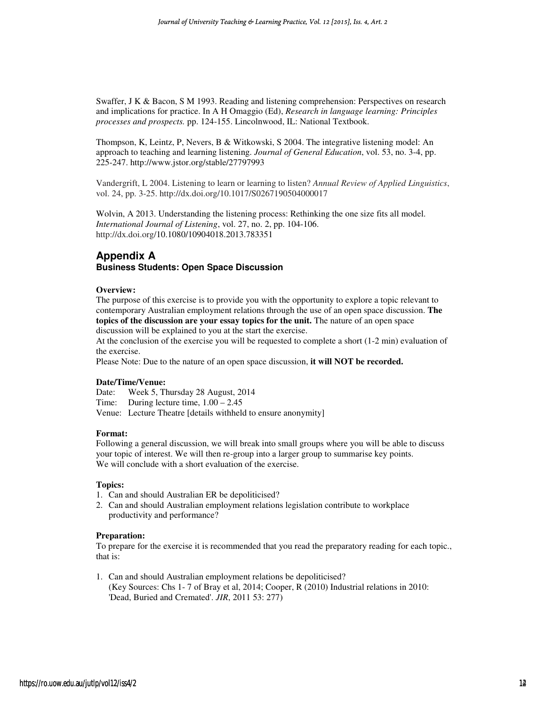Swaffer, J K & Bacon, S M 1993. Reading and listening comprehension: Perspectives on research and implications for practice. In A H Omaggio (Ed), *Research in language learning: Principles processes and prospects.* pp. 124-155. Lincolnwood, IL: National Textbook.

Thompson, K, Leintz, P, Nevers, B & Witkowski, S 2004. The integrative listening model: An approach to teaching and learning listening. *Journal of General Education*, vol. 53, no. 3-4, pp. 225-247. http://www.jstor.org/stable/27797993

Vandergrift, L 2004. Listening to learn or learning to listen? *Annual Review of Applied Linguistics*, vol. 24, pp. 3-25. http://dx.doi.org/10.1017/S0267190504000017

Wolvin, A 2013. Understanding the listening process: Rethinking the one size fits all model. *International Journal of Listening*, vol. 27, no. 2, pp. 104-106. http://dx.doi.org/10.1080/10904018.2013.783351

## **Appendix A Business Students: Open Space Discussion**

#### **Overview:**

The purpose of this exercise is to provide you with the opportunity to explore a topic relevant to contemporary Australian employment relations through the use of an open space discussion. **The topics of the discussion are your essay topics for the unit.** The nature of an open space discussion will be explained to you at the start the exercise.

At the conclusion of the exercise you will be requested to complete a short (1-2 min) evaluation of the exercise.

Please Note: Due to the nature of an open space discussion, **it will NOT be recorded.** 

#### **Date/Time/Venue:**

Date: Week 5, Thursday 28 August, 2014

Time: During lecture time,  $1.00 - 2.45$ 

Venue: Lecture Theatre [details withheld to ensure anonymity]

#### **Format:**

Following a general discussion, we will break into small groups where you will be able to discuss your topic of interest. We will then re-group into a larger group to summarise key points. We will conclude with a short evaluation of the exercise.

#### **Topics:**

- 1. Can and should Australian ER be depoliticised?
- 2. Can and should Australian employment relations legislation contribute to workplace productivity and performance?

#### **Preparation:**

To prepare for the exercise it is recommended that you read the preparatory reading for each topic., that is:

1. Can and should Australian employment relations be depoliticised? (Key Sources: Chs 1- 7 of Bray et al, 2014; Cooper, R (2010) Industrial relations in 2010: 'Dead, Buried and Cremated'. *JIR*, 2011 53: 277)